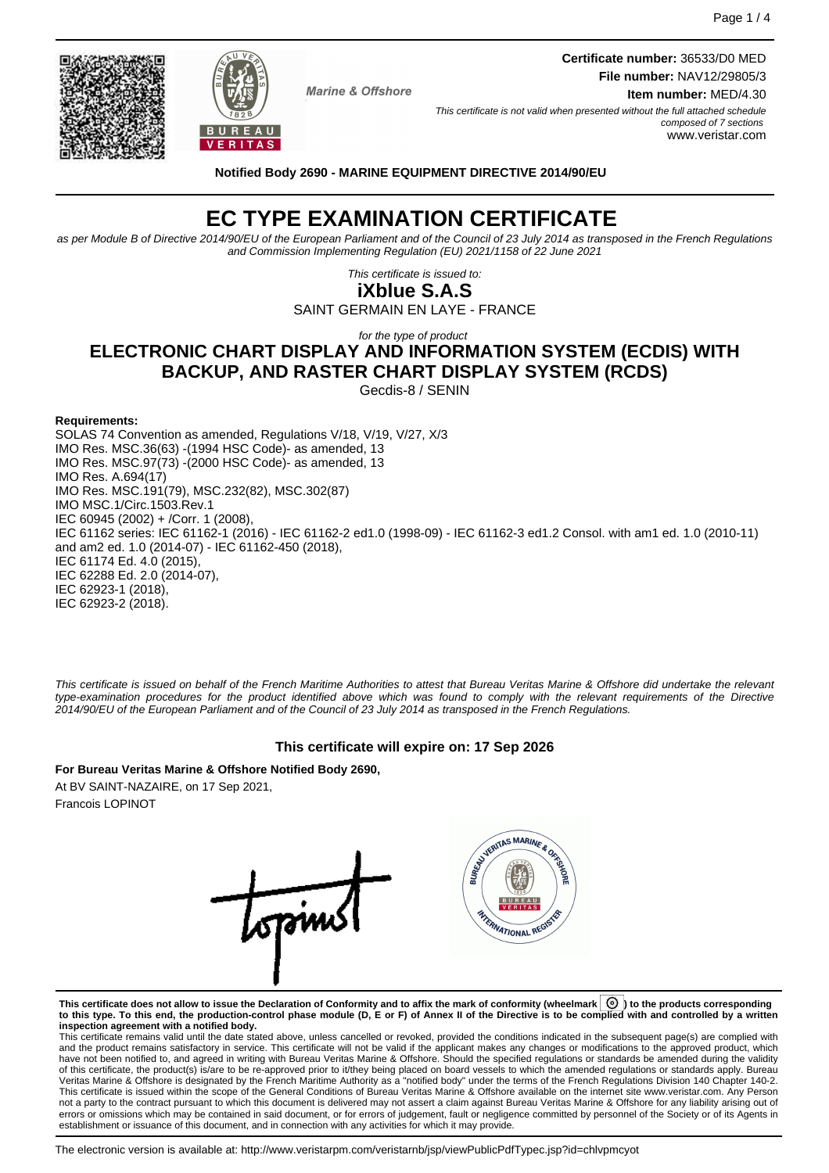

**Marine & Offshore** 

**Certificate number:** 36533/D0 MED **File number:** NAV12/29805/3 **Item number:** MED/4.30

This certificate is not valid when presented without the full attached schedule composed of 7 sections www.veristar.com

**Notified Body 2690 - MARINE EQUIPMENT DIRECTIVE 2014/90/EU**

# **EC TYPE EXAMINATION CERTIFICATE**

as per Module B of Directive 2014/90/EU of the European Parliament and of the Council of 23 July 2014 as transposed in the French Regulations and Commission Implementing Regulation (EU) 2021/1158 of 22 June 2021

> This certificate is issued to: **iXblue S.A.S**

SAINT GERMAIN EN LAYE - FRANCE

## for the type of product **ELECTRONIC CHART DISPLAY AND INFORMATION SYSTEM (ECDIS) WITH BACKUP, AND RASTER CHART DISPLAY SYSTEM (RCDS)**

Gecdis-8 / SENIN

#### **Requirements:**

SOLAS 74 Convention as amended, Regulations V/18, V/19, V/27, X/3 IMO Res. MSC.36(63) -(1994 HSC Code)- as amended, 13 IMO Res. MSC.97(73) -(2000 HSC Code)- as amended, 13 IMO Res. A.694(17) IMO Res. MSC.191(79), MSC.232(82), MSC.302(87) IMO MSC.1/Circ.1503.Rev.1 IEC 60945 (2002) + /Corr. 1 (2008), IEC 61162 series: IEC 61162-1 (2016) - IEC 61162-2 ed1.0 (1998-09) - IEC 61162-3 ed1.2 Consol. with am1 ed. 1.0 (2010-11) and am2 ed. 1.0 (2014-07) - IEC 61162-450 (2018), IEC 61174 Ed. 4.0 (2015), IEC 62288 Ed. 2.0 (2014-07), IEC 62923-1 (2018), IEC 62923-2 (2018).

This certificate is issued on behalf of the French Maritime Authorities to attest that Bureau Veritas Marine & Offshore did undertake the relevant type-examination procedures for the product identified above which was found to comply with the relevant requirements of the Directive 2014/90/EU of the European Parliament and of the Council of 23 July 2014 as transposed in the French Regulations.

## **This certificate will expire on: 17 Sep 2026**

**For Bureau Veritas Marine & Offshore Notified Body 2690,** At BV SAINT-NAZAIRE, on 17 Sep 2021, Francois LOPINOT



**This certificate does not allow to issue the Declaration of Conformity and to affix the mark of conformity (wheelmark ) to the products corresponding to this type. To this end, the production-control phase module (D, E or F) of Annex II of the Directive is to be complied with and controlled by a written**

**inspection agreement with a notified body.**<br>This certificate remains valid until the date stated above, unless cancelled or revoked, provided the conditions indicated in the subsequent page(s) are complied with and the product remains satisfactory in service. This certificate will not be valid if the applicant makes any changes or modifications to the approved product, which have not been notified to, and agreed in writing with Bureau Veritas Marine & Offshore. Should the specified regulations or standards be amended during the validity of this certificate, the product(s) is/are to be re-approved prior to it/they being placed on board vessels to which the amended regulations or standards apply. Bureau<br>Veritas Marine & Offshore is designated by the French not a party to the contract pursuant to which this document is delivered may not assert a claim against Bureau Veritas Marine & Offshore for any liability arising out of errors or omissions which may be contained in said document, or for errors of judgement, fault or negligence committed by personnel of the Society or of its Agents in establishment or issuance of this document, and in connection with any activities for which it may provide.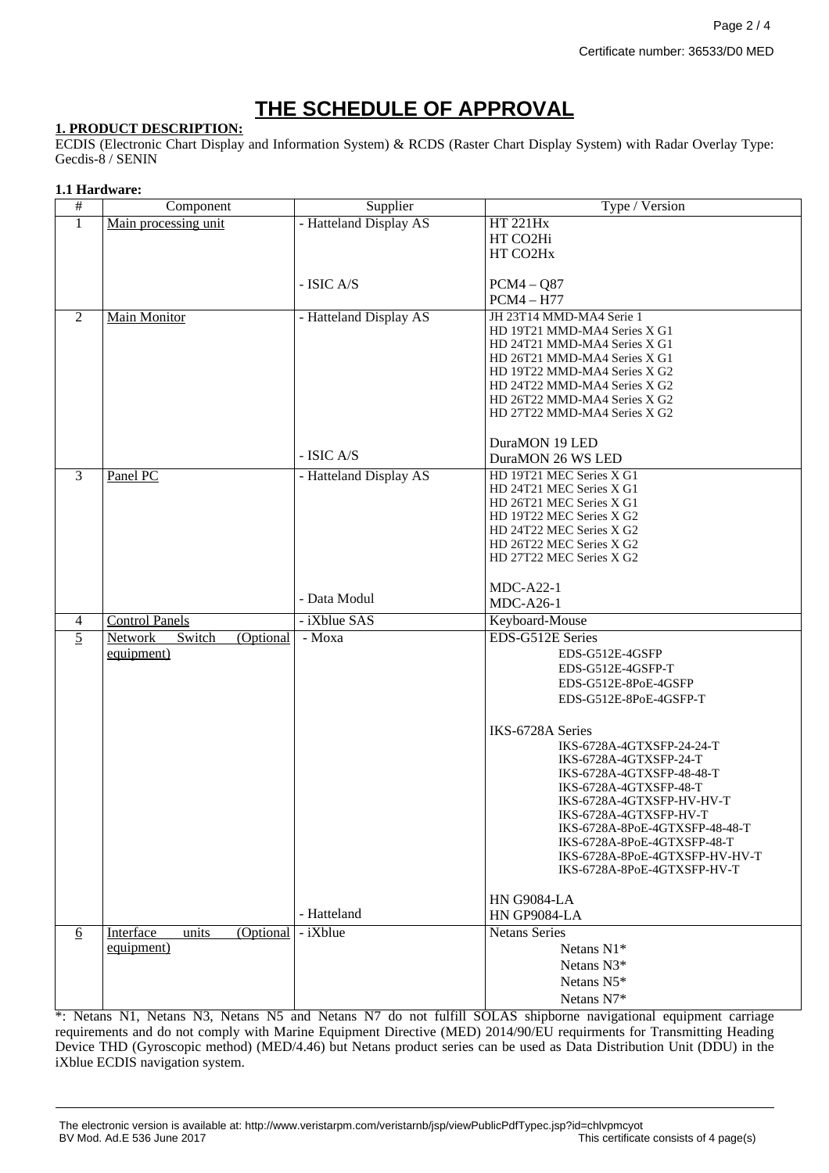# **THE SCHEDULE OF APPROVAL**

### **1. PRODUCT DESCRIPTION:**

ECDIS (Electronic Chart Display and Information System) & RCDS (Raster Chart Display System) with Radar Overlay Type: Gecdis-8 / SENIN

#### **1.1 Hardware:**

| #               | Component                             | Supplier               | Type / Version                                                |
|-----------------|---------------------------------------|------------------------|---------------------------------------------------------------|
| $\mathbf{1}$    | Main processing unit                  | - Hatteland Display AS | <b>HT 221Hx</b>                                               |
|                 |                                       |                        | HT CO2Hi                                                      |
|                 |                                       |                        | HT CO2Hx                                                      |
|                 |                                       |                        |                                                               |
|                 |                                       | - ISIC A/S             | $PCM4 - Q87$                                                  |
|                 |                                       |                        | $PCM4 - H77$                                                  |
| 2               | <b>Main Monitor</b>                   | - Hatteland Display AS | JH 23T14 MMD-MA4 Serie 1                                      |
|                 |                                       |                        | HD 19T21 MMD-MA4 Series X G1                                  |
|                 |                                       |                        | HD 24T21 MMD-MA4 Series X G1                                  |
|                 |                                       |                        | HD 26T21 MMD-MA4 Series X G1<br>HD 19T22 MMD-MA4 Series X G2  |
|                 |                                       |                        | HD 24T22 MMD-MA4 Series X G2                                  |
|                 |                                       |                        | HD 26T22 MMD-MA4 Series X G2                                  |
|                 |                                       |                        | HD 27T22 MMD-MA4 Series X G2                                  |
|                 |                                       |                        |                                                               |
|                 |                                       |                        | DuraMON 19 LED                                                |
|                 |                                       | - ISIC A/S             | DuraMON 26 WS LED                                             |
| $\overline{3}$  | Panel PC                              | - Hatteland Display AS | HD 19T21 MEC Series X G1                                      |
|                 |                                       |                        | HD 24T21 MEC Series X G1                                      |
|                 |                                       |                        | HD 26T21 MEC Series X G1                                      |
|                 |                                       |                        | HD 19T22 MEC Series X G2<br>HD 24T22 MEC Series X G2          |
|                 |                                       |                        | HD 26T22 MEC Series X G2                                      |
|                 |                                       |                        | HD 27T22 MEC Series X G2                                      |
|                 |                                       |                        |                                                               |
|                 |                                       |                        | $MDC-A22-1$                                                   |
|                 |                                       | - Data Modul           | <b>MDC-A26-1</b>                                              |
| $\overline{4}$  | <b>Control Panels</b>                 | - iXblue SAS           | Keyboard-Mouse                                                |
| $\overline{5}$  | <b>Network</b><br>Switch<br>(Optional | - Moxa                 | EDS-G512E Series                                              |
|                 | equipment)                            |                        | EDS-G512E-4GSFP                                               |
|                 |                                       |                        | EDS-G512E-4GSFP-T                                             |
|                 |                                       |                        | EDS-G512E-8PoE-4GSFP                                          |
|                 |                                       |                        | EDS-G512E-8PoE-4GSFP-T                                        |
|                 |                                       |                        |                                                               |
|                 |                                       |                        | IKS-6728A Series                                              |
|                 |                                       |                        | IKS-6728A-4GTXSFP-24-24-T                                     |
|                 |                                       |                        | IKS-6728A-4GTXSFP-24-T<br>IKS-6728A-4GTXSFP-48-48-T           |
|                 |                                       |                        | IKS-6728A-4GTXSFP-48-T                                        |
|                 |                                       |                        | IKS-6728A-4GTXSFP-HV-HV-T                                     |
|                 |                                       |                        | IKS-6728A-4GTXSFP-HV-T                                        |
|                 |                                       |                        | IKS-6728A-8PoE-4GTXSFP-48-48-T                                |
|                 |                                       |                        | IKS-6728A-8PoE-4GTXSFP-48-T                                   |
|                 |                                       |                        | IKS-6728A-8PoE-4GTXSFP-HV-HV-T<br>IKS-6728A-8PoE-4GTXSFP-HV-T |
|                 |                                       |                        |                                                               |
|                 |                                       |                        | <b>HN G9084-LA</b>                                            |
|                 |                                       | - Hatteland            | HN GP9084-LA                                                  |
| $\underline{6}$ | Interface<br>(Optional<br>units       | - iXblue               | <b>Netans Series</b>                                          |
|                 | equipment)                            |                        | Netans $N1*$                                                  |
|                 |                                       |                        | Netans N3*                                                    |
|                 |                                       |                        | Netans N5*                                                    |
|                 |                                       |                        |                                                               |
|                 |                                       |                        | Netans N7*                                                    |

\*: Netans N1, Netans N3, Netans N5 and Netans N7 do not fulfill SOLAS shipborne navigational equipment carriage requirements and do not comply with Marine Equipment Directive (MED) 2014/90/EU requirments for Transmitting Heading Device THD (Gyroscopic method) (MED/4.46) but Netans product series can be used as Data Distribution Unit (DDU) in the iXblue ECDIS navigation system.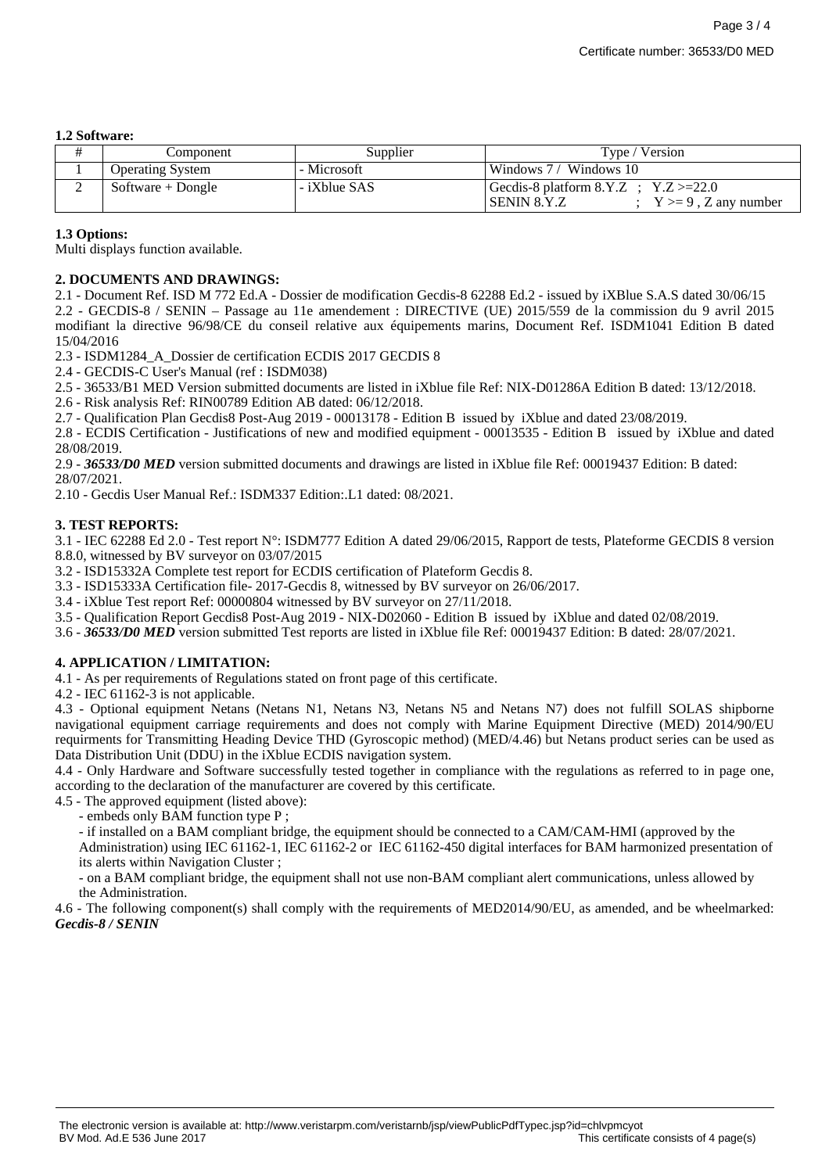#### **1.2 Software:**

|   | Component               | Supplier     | Type / Version                                                                      |
|---|-------------------------|--------------|-------------------------------------------------------------------------------------|
|   | <b>Operating System</b> | - Microsoft  | Windows $7/$ Windows 10                                                             |
| ∸ | Software + Dongle       | - iXblue SAS | Gecdis-8 platform $8.Y.Z$ ; $Y.Z >=22.0$<br>SENIN 8.Y.Z<br>$Y \ge 9$ , Z any number |

### **1.3 Options:**

Multi displays function available.

## **2. DOCUMENTS AND DRAWINGS:**

2.1 - Document Ref. ISD M 772 Ed.A - Dossier de modification Gecdis-8 62288 Ed.2 - issued by iXBlue S.A.S dated 30/06/15 2.2 - GECDIS-8 / SENIN – Passage au 11e amendement : DIRECTIVE (UE) 2015/559 de la commission du 9 avril 2015 modifiant la directive 96/98/CE du conseil relative aux équipements marins, Document Ref. ISDM1041 Edition B dated 15/04/2016

2.3 - ISDM1284\_A\_Dossier de certification ECDIS 2017 GECDIS 8

2.4 - GECDIS-C User's Manual (ref : ISDM038)

2.5 - 36533/B1 MED Version submitted documents are listed in iXblue file Ref: NIX-D01286A Edition B dated: 13/12/2018.

2.6 - Risk analysis Ref: RIN00789 Edition AB dated: 06/12/2018.

2.7 - Qualification Plan Gecdis8 Post-Aug 2019 - 00013178 - Edition B issued by iXblue and dated 23/08/2019.

2.8 - ECDIS Certification - Justifications of new and modified equipment - 00013535 - Edition B issued by iXblue and dated 28/08/2019.

2.9 - *36533/D0 MED* version submitted documents and drawings are listed in iXblue file Ref: 00019437 Edition: B dated: 28/07/2021.

2.10 - Gecdis User Manual Ref.: ISDM337 Edition:.L1 dated: 08/2021.

## **3. TEST REPORTS:**

3.1 - IEC 62288 Ed 2.0 - Test report N°: ISDM777 Edition A dated 29/06/2015, Rapport de tests, Plateforme GECDIS 8 version 8.8.0, witnessed by BV surveyor on 03/07/2015

3.2 - ISD15332A Complete test report for ECDIS certification of Plateform Gecdis 8.

3.3 - ISD15333A Certification file- 2017-Gecdis 8, witnessed by BV surveyor on 26/06/2017.

3.4 - iXblue Test report Ref: 00000804 witnessed by BV surveyor on 27/11/2018.

- 3.5 Qualification Report Gecdis8 Post-Aug 2019 NIX-D02060 Edition B issued by iXblue and dated 02/08/2019.
- 3.6 *36533/D0 MED* version submitted Test reports are listed in iXblue file Ref: 00019437 Edition: B dated: 28/07/2021.

## **4. APPLICATION / LIMITATION:**

4.1 - As per requirements of Regulations stated on front page of this certificate.

4.2 - IEC 61162-3 is not applicable.

4.3 - Optional equipment Netans (Netans N1, Netans N3, Netans N5 and Netans N7) does not fulfill SOLAS shipborne navigational equipment carriage requirements and does not comply with Marine Equipment Directive (MED) 2014/90/EU requirments for Transmitting Heading Device THD (Gyroscopic method) (MED/4.46) but Netans product series can be used as Data Distribution Unit (DDU) in the iXblue ECDIS navigation system.

4.4 - Only Hardware and Software successfully tested together in compliance with the regulations as referred to in page one, according to the declaration of the manufacturer are covered by this certificate.

4.5 - The approved equipment (listed above):

- embeds only BAM function type P ;

- if installed on a BAM compliant bridge, the equipment should be connected to a CAM/CAM-HMI (approved by the Administration) using IEC 61162-1, IEC 61162-2 or IEC 61162-450 digital interfaces for BAM harmonized presentation of its alerts within Navigation Cluster ;

- on a BAM compliant bridge, the equipment shall not use non-BAM compliant alert communications, unless allowed by the Administration.

4.6 - The following component(s) shall comply with the requirements of MED2014/90/EU, as amended, and be wheelmarked: *Gecdis-8 / SENIN*